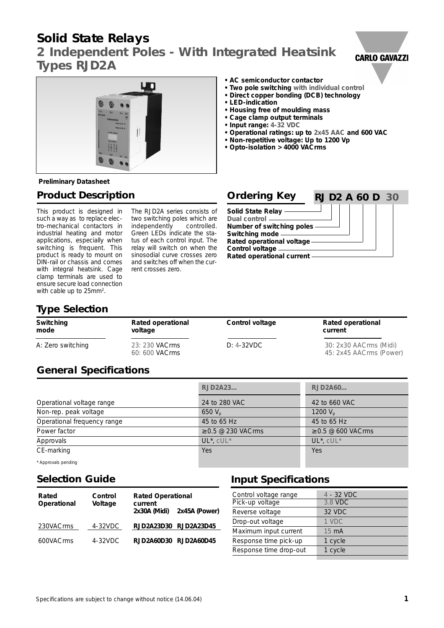# **Solid State Relays**

*2 Independent Poles - With Integrated Heatsink* **Types RJD2A**





**• AC semiconductor contactor**

- **Two pole switching with individual control**
- **Direct copper bonding (DCB) technology**
- **LED-indication**
- **Housing free of moulding mass**
- **Cage clamp output terminals**
- **Input range: 4-32 VDC**
- **Operational ratings: up to 2x45 AAC and 600 VAC**
- **Non-repetitive voltage: Up to 1200 Vp**
- **Opto-isolation > 4000 VACrms**

### **Preliminary Datasheet**

### **Product Description**

This product is designed in such a way as to replace electro-mechanical contactors in industrial heating and motor applications, especially when switching is frequent. This product is ready to mount on DIN-rail or chassis and comes with integral heatsink. Cage clamp terminals are used to ensure secure load connection with cable up to 25mm<sup>2</sup>.

The RJD2A series consists of two switching poles which are independently controlled. Green LEDs indicate the status of each control input. The relay will switch on when the sinosodial curve crosses zero and switches off when the current crosses zero.

| <b>Ordering Key</b>                                                                       | <b>RJ D2 A 60 D 30</b> |
|-------------------------------------------------------------------------------------------|------------------------|
| <b>Solid State Relay</b><br>Dual control -<br>Number of switching poles<br>Switching mode |                        |
| Rated operational voltage<br>Control voltage<br>Rated operational current                 |                        |

## **Type Selection**

| Switching         | Rated operational                | Control voltage | Rated operational                                 |
|-------------------|----------------------------------|-----------------|---------------------------------------------------|
| mode              | voltage                          |                 | current                                           |
| A: Zero switching | 23: 230 VACrms<br>60: 600 VACrms | $D: 4-32VDC$    | 30: 2x30 AACrms (Midi)<br>45: 2x45 AACrms (Power) |

## **General Specifications**

|                             | <b>RJD2A23</b>          | RJD2A60                 |
|-----------------------------|-------------------------|-------------------------|
| Operational voltage range   | 24 to 280 VAC           | 42 to 660 VAC           |
| Non-rep. peak voltage       | 650 $V_{p}$             | 1200 $V_p$              |
| Operational frequency range | 45 to 65 Hz             | 45 to 65 Hz             |
| Power factor                | $\geq$ 0.5 @ 230 VACrms | $\geq$ 0.5 @ 600 VACrms |
| Approvals                   | $UL^*$ , $cUL^*$        | $UL^*$ , $cUL^*$        |
| CE-marking                  | Yes                     | Yes                     |
| * Approvals pending         |                         |                         |

## **Selection Guide**

| Rated<br>Operational | Control<br>Voltage | <b>Rated Operational</b><br>current<br>2x30A (Midi) | 2x45A (Power) |
|----------------------|--------------------|-----------------------------------------------------|---------------|
| 230VACrms            | 4-32VDC            | RJD2A23D30 RJD2A23D45                               |               |
| 600VACrms            | $4 - 32$ VDC       | RJD2A60D30 RJD2A60D45                               |               |

## **Input Specifications**

| Control voltage range  | 4 - 32 VDC |
|------------------------|------------|
| Pick-up voltage        | 3.8 VDC    |
| Reverse voltage        | 32 VDC     |
| Drop-out voltage       | 1 VDC      |
| Maximum input current  | 15 mA      |
| Response time pick-up  | 1 cycle    |
| Response time drop-out | 1 cycle    |